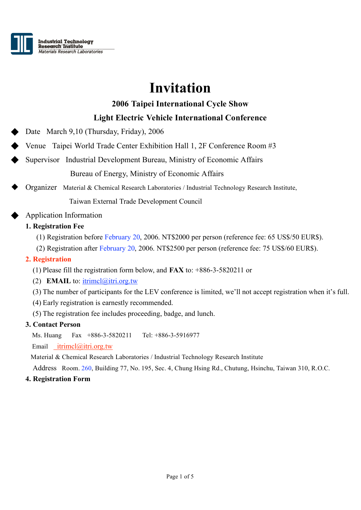

# **Invitation**

# **2006 Taipei International Cycle Show**

# **Light Electric Vehicle International Conference**

Date March 9,10 (Thursday, Friday), 2006

Venue Taipei World Trade Center Exhibition Hall 1, 2F Conference Room #3

Supervisor Industrial Development Bureau, Ministry of Economic Affairs Bureau of Energy, Ministry of Economic Affairs

Organizer Material & Chemical Research Laboratories / Industrial Technology Research Institute,

Taiwan External Trade Development Council

## Application Information

## **1. Registration Fee**

- (1) Registration before February 20, 2006. NT\$2000 per person (reference fee: 65 US\$/50 EUR\$).
- (2) Registration after February 20, 2006. NT\$2500 per person (reference fee: 75 US\$/60 EUR\$).

### **2. Registration**

- (1) Please fill the registration form below, and **FAX** to: +886-3-5820211 or
- (2) **EMAIL** to: itrimcl@itri.org.tw
- (3) The number of participants for the LEV conference is limited, we'll not accept registration when it's full.
- (4) Early registration is earnestly recommended.
- (5) The registration fee includes proceeding, badge, and lunch.

#### **3. Contact Person**

Ms. Huang Fax +886-3-5820211 Tel: +886-3-5916977

Email itrimcl@itri.org.tw

Material & Chemical Research Laboratories / Industrial Technology Research Institute

Address Room. 260, Building 77, No. 195, Sec. 4, Chung Hsing Rd., Chutung, Hsinchu, Taiwan 310, R.O.C.

#### **4. Registration Form**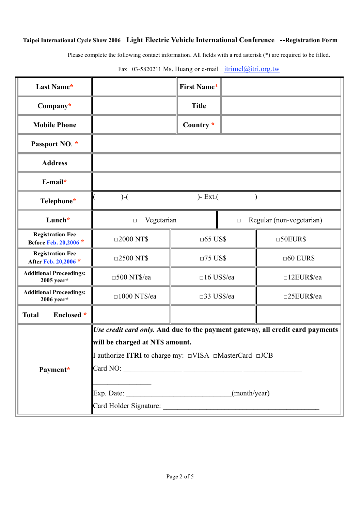## **Taipei International Cycle Show 2006 Light Electric Vehicle International Conference --Registration Form**

Please complete the following contact information. All fields with a red asterisk (\*) are required to be filled.

| Last Name*                                       |                                                                                                                                                                           | <b>First Name*</b>   |        |                          |  |
|--------------------------------------------------|---------------------------------------------------------------------------------------------------------------------------------------------------------------------------|----------------------|--------|--------------------------|--|
| Company*                                         |                                                                                                                                                                           | <b>Title</b>         |        |                          |  |
| <b>Mobile Phone</b>                              |                                                                                                                                                                           | Country *            |        |                          |  |
| Passport NO. *                                   |                                                                                                                                                                           |                      |        |                          |  |
| <b>Address</b>                                   |                                                                                                                                                                           |                      |        |                          |  |
| $E$ -mail*                                       |                                                                                                                                                                           |                      |        |                          |  |
| Telephone*                                       | $)- Ext.($<br>$) - ($                                                                                                                                                     |                      |        |                          |  |
| Lunch*                                           | Vegetarian<br>$\Box$                                                                                                                                                      |                      | $\Box$ | Regular (non-vegetarian) |  |
| <b>Registration Fee</b><br>Before Feb. 20,2006 * | $\square 2000$ NT\$                                                                                                                                                       | $\Box$ 65 US\$       |        | $\square$ 50EUR\$        |  |
| <b>Registration Fee</b><br>After Feb. 20,2006 *  | $\Box$ 2500 NT\$                                                                                                                                                          | $\Box$ 75 US\$       |        | $\Box 60$ EUR\$          |  |
| <b>Additional Proceedings:</b><br>$2005$ year*   | $\square$ 500 NT\$/ea                                                                                                                                                     | $\square 16$ US\$/ea |        | $\Box$ 12EUR\$/ea        |  |
| <b>Additional Proceedings:</b><br>$2006$ year*   | $\square$ 1000 NT\$/ea                                                                                                                                                    | □33 US\$/ea          |        | $\square$ 25EUR\$/ea     |  |
| Enclosed *<br><b>Total</b>                       |                                                                                                                                                                           |                      |        |                          |  |
|                                                  | Use credit card only. And due to the payment gateway, all credit card payments<br>will be charged at NTS amount.<br>I authorize ITRI to charge my: □VISA □MasterCard □JCB |                      |        |                          |  |
|                                                  |                                                                                                                                                                           |                      |        |                          |  |
|                                                  |                                                                                                                                                                           |                      |        |                          |  |
| Payment*                                         |                                                                                                                                                                           |                      |        |                          |  |
|                                                  |                                                                                                                                                                           |                      |        |                          |  |
|                                                  |                                                                                                                                                                           |                      |        |                          |  |
|                                                  |                                                                                                                                                                           |                      |        |                          |  |

Fax 03-5820211 Ms. Huang or e-mail  $itrimcl@itri.org.tw$ </u>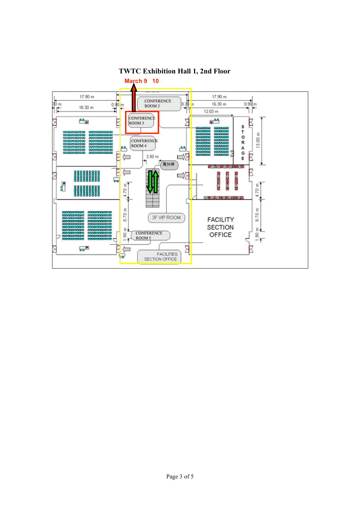

# **TWTC Exhibition Hall 1, 2nd Floor**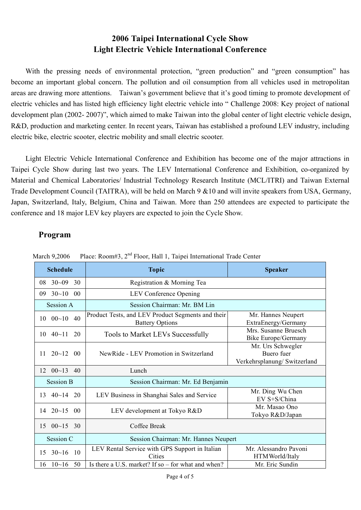# **2006 Taipei International Cycle Show Light Electric Vehicle International Conference**

With the pressing needs of environmental protection, "green production" and "green consumption" has become an important global concern. The pollution and oil consumption from all vehicles used in metropolitan areas are drawing more attentions. Taiwan's government believe that it's good timing to promote development of electric vehicles and has listed high efficiency light electric vehicle into " Challenge 2008: Key project of national development plan (2002- 2007)", which aimed to make Taiwan into the global center of light electric vehicle design, R&D, production and marketing center. In recent years, Taiwan has established a profound LEV industry, including electric bike, electric scooter, electric mobility and small electric scooter.

Light Electric Vehicle International Conference and Exhibition has become one of the major attractions in Taipei Cycle Show during last two years. The LEV International Conference and Exhibition, co-organized by Material and Chemical Laboratories/ Industrial Technology Research Institute (MCL/ITRI) and Taiwan External Trade Development Council (TAITRA), will be held on March 9 &10 and will invite speakers from USA, Germany, Japan, Switzerland, Italy, Belgium, China and Taiwan. More than 250 attendees are expected to participate the conference and 18 major LEV key players are expected to join the Cycle Show.

## **Program**

| <b>Schedule</b>                    | <b>Topic</b>                                                                | <b>Speaker</b>                                                 |  |  |
|------------------------------------|-----------------------------------------------------------------------------|----------------------------------------------------------------|--|--|
| $30 - 09$ 30<br>08                 | Registration & Morning Tea                                                  |                                                                |  |  |
| $30~10$ 00<br>09                   | LEV Conference Opening                                                      |                                                                |  |  |
| Session A                          | Session Chairman: Mr. BM Lin                                                |                                                                |  |  |
| $00~10$ 40<br>10                   | Product Tests, and LEV Product Segments and their<br><b>Battery Options</b> | Mr. Hannes Neupert<br>ExtraEnergy/Germany                      |  |  |
| $40 - 11$<br>10<br>20              | <b>Tools to Market LEVs Successfully</b>                                    | Mrs. Susanne Bruesch<br><b>Bike Europe/Germany</b>             |  |  |
| $20 - 12$ 00<br>11                 | NewRide - LEV Promotion in Switzerland                                      | Mr. Urs Schwegler<br>Buero fuer<br>Verkehrsplanung/Switzerland |  |  |
| $12 \t 00~13 \t 40$                | Lunch                                                                       |                                                                |  |  |
| <b>Session B</b>                   | Session Chairman: Mr. Ed Benjamin                                           |                                                                |  |  |
| $40 - 14$<br>20<br>13              | LEV Business in Shanghai Sales and Service                                  | Mr. Ding Wu Chen<br>EV S+S/China                               |  |  |
| $20 - 15$<br>14<br>00 <sup>0</sup> | LEV development at Tokyo R&D                                                | Mr. Masao Ono<br>Tokyo R&D/Japan                               |  |  |
| $00~15$ 30<br>15                   | Coffee Break                                                                |                                                                |  |  |
| Session C                          | Session Chairman: Mr. Hannes Neupert                                        |                                                                |  |  |
| $30~16$ 10<br>15                   | LEV Rental Service with GPS Support in Italian<br>Cities                    | Mr. Alessandro Pavoni<br>HTMWorld/Italy                        |  |  |
| $10 - 16$<br>50<br>16              | Is there a U.S. market? If so – for what and when?                          | Mr. Eric Sundin                                                |  |  |

March 9,2006 Place: Room#3, 2<sup>nd</sup> Floor, Hall 1, Taipei International Trade Center